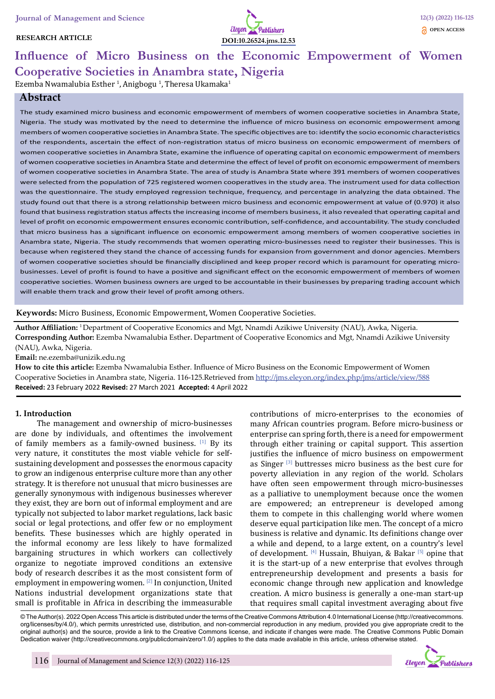#### **RESEARCH ARTICLE**



# **Influence of Micro Business on the Economic Empowerment of Women Cooperative Societies in Anambra state, Nigeria**

Ezemba Nwamalubia Esther <sup>1</sup>, Anigbogu <sup>1</sup>, Theresa Ukamaka<sup>1</sup>

# **Abstract**

The study examined micro business and economic empowerment of members of women cooperative societies in Anambra State, Nigeria. The study was motivated by the need to determine the influence of micro business on economic empowerment among members of women cooperative societies in Anambra State. The specific objectives are to: identify the socio economic characteristics of the respondents, ascertain the effect of non-registration status of micro business on economic empowerment of members of women cooperative societies in Anambra State, examine the influence of operating capital on economic empowerment of members of women cooperative societies in Anambra State and determine the effect of level of profit on economic empowerment of members of women cooperative societies in Anambra State. The area of study is Anambra State where 391 members of women cooperatives were selected from the population of 725 registered women cooperatives in the study area. The instrument used for data collection was the questionnaire. The study employed regression technique, frequency, and percentage in analyzing the data obtained. The study found out that there is a strong relationship between micro business and economic empowerment at value of (0.970) it also found that business registration status affects the increasing income of members business, it also revealed that operating capital and level of profit on economic empowerment ensures economic contribution, self-confidence, and accountability. The study concluded that micro business has a significant influence on economic empowerment among members of women cooperative societies in Anambra state, Nigeria. The study recommends that women operating micro-businesses need to register their businesses. This is because when registered they stand the chance of accessing funds for expansion from government and donor agencies. Members of women cooperative societies should be financially disciplined and keep proper record which is paramount for operating microbusinesses. Level of profit is found to have a positive and significant effect on the economic empowerment of members of women cooperative societies. Women business owners are urged to be accountable in their businesses by preparing trading account which will enable them track and grow their level of profit among others.

#### **Keywords:** Micro Business, Economic Empowerment, Women Cooperative Societies.

**Author Affiliation:** 1 Department of Cooperative Economics and Mgt, Nnamdi Azikiwe University (NAU), Awka, Nigeria. **Corresponding Author:** Ezemba Nwamalubia Esther. Department of Cooperative Economics and Mgt, Nnamdi Azikiwe University (NAU), Awka, Nigeria.

**Email:** ne.ezemba@unizik.edu.ng

**How to cite this article:** Ezemba Nwamalubia Esther. Influence of Micro Business on the Economic Empowerment of Women Cooperative Societies in Anambra state, Nigeria. 116-125.Retrieved from http://jms.eleyon.org/index.php/jms/article/view/588 **Received:** 23 February 2022 **Revised:** 27 March 2021 **Accepted:** 4 April 2022

#### **1. Introduction**

The management and ownership of micro-businesses are done by individuals, and oftentimes the involvement of family members as a family-owned business.  $[1]$  By its very nature, it constitutes the most viable vehicle for selfsustaining development and possesses the enormous capacity to grow an indigenous enterprise culture more than any other strategy. It is therefore not unusual that micro businesses are generally synonymous with indigenous businesses wherever they exist, they are born out of informal employment and are typically not subjected to labor market regulations, lack basic social or legal protections, and offer few or no employment benefits. These businesses which are highly operated in the informal economy are less likely to have formalized bargaining structures in which workers can collectively organize to negotiate improved conditions an extensive body of research describes it as the most consistent form of employment in empowering women. [2] In conjunction, United Nations industrial development organizations state that small is profitable in Africa in describing the immeasurable

contributions of micro-enterprises to the economies of many African countries program. Before micro-business or enterprise can spring forth, there is a need for empowerment through either training or capital support. This assertion justifies the influence of micro business on empowerment as Singer [3] buttresses micro business as the best cure for poverty alleviation in any region of the world. Scholars have often seen empowerment through micro-businesses as a palliative to unemployment because once the women are empowered; an entrepreneur is developed among them to compete in this challenging world where women deserve equal participation like men. The concept of a micro business is relative and dynamic. Its definitions change over a while and depend, to a large extent, on a country's level of development.  $^{[4]}$  Hussain, Bhuiyan, & Bakar  $^{[5]}$  opine that it is the start-up of a new enterprise that evolves through entrepreneurship development and presents a basis for economic change through new application and knowledge creation. A micro business is generally a one-man start-up that requires small capital investment averaging about five

© The Author(s). 2022 Open Access This article is distributed under the terms of the Creative Commons Attribution 4.0 International License (http://creativecommons. org/licenses/by/4.0/), which permits unrestricted use, distribution, and non-commercial reproduction in any medium, provided you give appropriate credit to the original author(s) and the source, provide a link to the Creative Commons license, and indicate if changes were made. The Creative Commons Public Domain Dedication waiver (http://creativecommons.org/publicdomain/zero/1.0/) applies to the data made available in this article, unless otherwise stated.

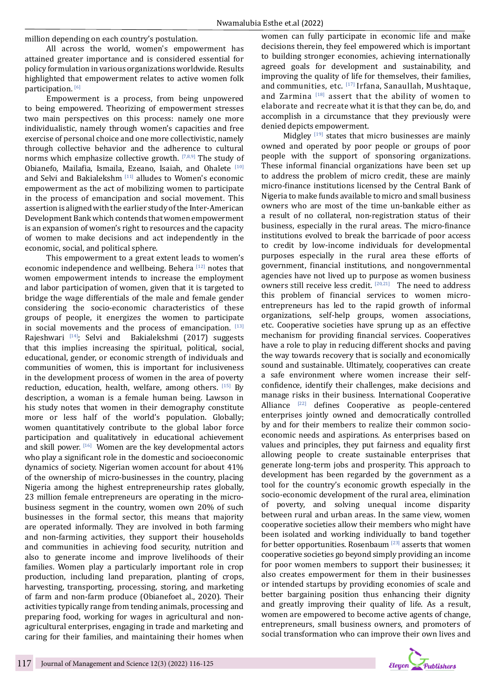million depending on each country's postulation.

All across the world, women's empowerment has attained greater importance and is considered essential for policy formulation in various organizations worldwide. Results highlighted that empowerment relates to active women folk participation.<sup>[6]</sup>

Empowerment is a process, from being unpowered to being empowered. Theorizing of empowerment stresses two main perspectives on this process: namely one more individualistic, namely through women's capacities and free exercise of personal choice and one more collectivistic, namely through collective behavior and the adherence to cultural norms which emphasize collective growth. [7,8,9] The study of Obianefo, Mailafia, Ismaila, Ezeano, Isaiah, and Ohalete [10] and Selvi and Bakialekshm<sup>[11]</sup> alludes to Women's economic empowerment as the act of mobilizing women to participate in the process of emancipation and social movement. This assertion is aligned with the earlier study of the Inter-American Development Bank which contends that women empowerment is an expansion of women's right to resources and the capacity of women to make decisions and act independently in the economic, social, and political sphere.

This empowerment to a great extent leads to women's economic independence and wellbeing. Behera [12] notes that women empowerment intends to increase the employment and labor participation of women, given that it is targeted to bridge the wage differentials of the male and female gender considering the socio-economic characteristics of these groups of people, it energizes the women to participate in social movements and the process of emancipation.  $[13]$ Rajeshwari [14]; Selvi and Bakialekshmi (2017) suggests that this implies increasing the spiritual, political, social, educational, gender, or economic strength of individuals and communities of women, this is important for inclusiveness in the development process of women in the area of poverty reduction, education, health, welfare, among others.  $[15]$  By description, a woman is a female human being. Lawson in his study notes that women in their demography constitute more or less half of the world's population. Globally; women quantitatively contribute to the global labor force participation and qualitatively in educational achievement and skill power.  $[16]$  Women are the key developmental actors who play a significant role in the domestic and socioeconomic dynamics of society. Nigerian women account for about 41% of the ownership of micro-businesses in the country, placing Nigeria among the highest entrepreneurship rates globally, 23 million female entrepreneurs are operating in the microbusiness segment in the country, women own 20% of such businesses in the formal sector, this means that majority are operated informally. They are involved in both farming and non-farming activities, they support their households and communities in achieving food security, nutrition and also to generate income and improve livelihoods of their families. Women play a particularly important role in crop production, including land preparation, planting of crops, harvesting, transporting, processing, storing, and marketing of farm and non-farm produce (Obianefoet al., 2020). Their activities typically range from tending animals, processing and preparing food, working for wages in agricultural and nonagricultural enterprises, engaging in trade and marketing and caring for their families, and maintaining their homes when women can fully participate in economic life and make decisions therein, they feel empowered which is important to building stronger economies, achieving internationally agreed goals for development and sustainability, and improving the quality of life for themselves, their families, and communities, etc. [17] Irfana, Sanaullah, Mushtaque, and Zarmina  $^{[18]}$  assert that the ability of women to elaborate and recreate what it is that they can be, do, and accomplish in a circumstance that they previously were denied depicts empowerment.

Midgley  $[19]$  states that micro businesses are mainly owned and operated by poor people or groups of poor people with the support of sponsoring organizations. These informal financial organizations have been set up to address the problem of micro credit, these are mainly micro-finance institutions licensed by the Central Bank of Nigeria to make funds available to micro and small business owners who are most of the time un-bankable either as a result of no collateral, non-registration status of their business, especially in the rural areas. The micro-finance institutions evolved to break the barricade of poor access to credit by low-income individuals for developmental purposes especially in the rural area these efforts of government, financial institutions, and nongovernmental agencies have not lived up to purpose as women business owners still receive less credit. [20,21] The need to address this problem of financial services to women microentrepreneurs has led to the rapid growth of informal organizations, self-help groups, women associations, etc. Cooperative societies have sprung up as an effective mechanism for providing financial services. Cooperatives have a role to play in reducing different shocks and paving the way towards recovery that is socially and economically sound and sustainable. Ultimately, cooperatives can create a safe environment where women increase their selfconfidence, identify their challenges, make decisions and manage risks in their business. International Cooperative Alliance [22] defines Cooperative as people-centered enterprises jointly owned and democratically controlled by and for their members to realize their common socioeconomic needs and aspirations. As enterprises based on values and principles, they put fairness and equality first allowing people to create sustainable enterprises that generate long-term jobs and prosperity. This approach to development has been regarded by the government as a tool for the country's economic growth especially in the socio-economic development of the rural area, elimination of poverty, and solving unequal income disparity between rural and urban areas. In the same view, women cooperative societies allow their members who might have been isolated and working individually to band together for better opportunities. Rosenbaum [23] asserts that women cooperative societies go beyond simply providing an income for poor women members to support their businesses; it also creates empowerment for them in their businesses or intended startups by providing economies of scale and better bargaining position thus enhancing their dignity and greatly improving their quality of life. As a result, women are empowered to become active agents of change, entrepreneurs, small business owners, and promoters of social transformation who can improve their own lives and

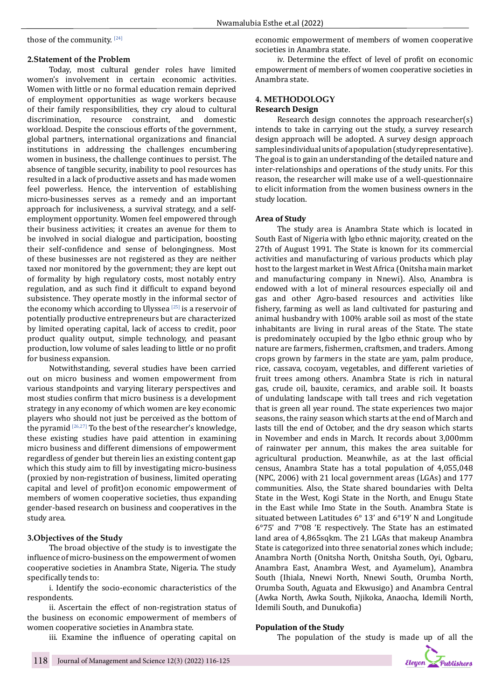those of the community. [24]

#### **2.Statement of the Problem**

Today, most cultural gender roles have limited women's involvement in certain economic activities. Women with little or no formal education remain deprived of employment opportunities as wage workers because of their family responsibilities, they cry aloud to cultural<br>discrimination, resource constraint, and domestic discrimination, resource constraint, and workload. Despite the conscious efforts of the government, global partners, international organizations and financial institutions in addressing the challenges encumbering women in business, the challenge continues to persist. The absence of tangible security, inability to pool resources has resulted in a lack of productive assets and has made women feel powerless. Hence, the intervention of establishing micro-businesses serves as a remedy and an important approach for inclusiveness, a survival strategy, and a selfemployment opportunity. Women feel empowered through their business activities; it creates an avenue for them to be involved in social dialogue and participation, boosting their self-confidence and sense of belongingness. Most of these businesses are not registered as they are neither taxed nor monitored by the government; they are kept out of formality by high regulatory costs, most notably entry regulation, and as such find it difficult to expand beyond subsistence. They operate mostly in the informal sector of the economy which according to Ulyssea  $[25]$  is a reservoir of potentially productive entrepreneurs but are characterized by limited operating capital, lack of access to credit, poor product quality output, simple technology, and peasant production, low volume of sales leading to little or no profit for business expansion.

Notwithstanding, several studies have been carried out on micro business and women empowerment from various standpoints and varying literary perspectives and most studies confirm that micro business is a development strategy in any economy of which women are key economic players who should not just be perceived as the bottom of the pyramid  $[26,27]$  To the best of the researcher's knowledge, these existing studies have paid attention in examining micro business and different dimensions of empowerment regardless of gender but therein lies an existing content gap which this study aim to fill by investigating micro-business (proxied by non-registration of business, limited operating capital and level of profit}on economic empowerment of members of women cooperative societies, thus expanding gender-based research on business and cooperatives in the study area.

#### **3.Objectives of the Study**

The broad objective of the study is to investigate the influence of micro-business on the empowerment of women cooperative societies in Anambra State, Nigeria. The study specifically tends to:

i. Identify the socio-economic characteristics of the respondents.

ii. Ascertain the effect of non-registration status of the business on economic empowerment of members of women cooperative societies in Anambra state.

iii. Examine the influence of operating capital on

economic empowerment of members of women cooperative societies in Anambra state.

iv. Determine the effect of level of profit on economic empowerment of members of women cooperative societies in Anambra state.

# **4. METHODOLOGY Research Design**

Research design connotes the approach researcher(s) intends to take in carrying out the study, a survey research design approach will be adopted. A survey design approach samples individual units of a population (study representative). The goal is to gain an understanding of the detailed nature and inter-relationships and operations of the study units. For this reason, the researcher will make use of a well-questionnaire to elicit information from the women business owners in the study location.

#### **Area of Study**

The study area is Anambra State which is located in South East of Nigeria with Igbo ethnic majority, created on the 27th of August 1991. The State is known for its commercial activities and manufacturing of various products which play host to the largest market in West Africa (Onitsha main market and manufacturing company in Nnewi). Also, Anambra is endowed with a lot of mineral resources especially oil and gas and other Agro-based resources and activities like fishery, farming as well as land cultivated for pasturing and animal husbandry with 100% arable soil as most of the state inhabitants are living in rural areas of the State. The state is predominately occupied by the Igbo ethnic group who by nature are farmers, fishermen, craftsmen, and traders. Among crops grown by farmers in the state are yam, palm produce, rice, cassava, cocoyam, vegetables, and different varieties of fruit trees among others. Anambra State is rich in natural gas, crude oil, bauxite, ceramics, and arable soil. It boasts of undulating landscape with tall trees and rich vegetation that is green all year round. The state experiences two major seasons, the rainy season which starts at the end of March and lasts till the end of October, and the dry season which starts in November and ends in March. It records about 3,000mm of rainwater per annum, this makes the area suitable for agricultural production. Meanwhile, as at the last official census, Anambra State has a total population of 4,055,048 (NPC, 2006) with 21 local government areas (LGAs) and 177 communities. Also, the State shared boundaries with Delta State in the West, Kogi State in the North, and Enugu State in the East while Imo State in the South. Anambra State is situated between Latitudes 6° 13' and 6°19' N and Longitude 6°75' and 7°08 'E respectively. The State has an estimated land area of 4,865sqkm. The 21 LGAs that makeup Anambra State is categorized into three senatorial zones which include; Anambra North (Onitsha North, Onitsha South, Oyi, Ogbaru, Anambra East, Anambra West, and Ayamelum), Anambra South (Ihiala, Nnewi North, Nnewi South, Orumba North, Orumba South, Aguata and Ekwusigo) and Anambra Central (Awka North, Awka South, Njikoka, Anaocha, Idemili North, Idemili South, and Dunukofia)

#### **Population of the Study**

The population of the study is made up of all the

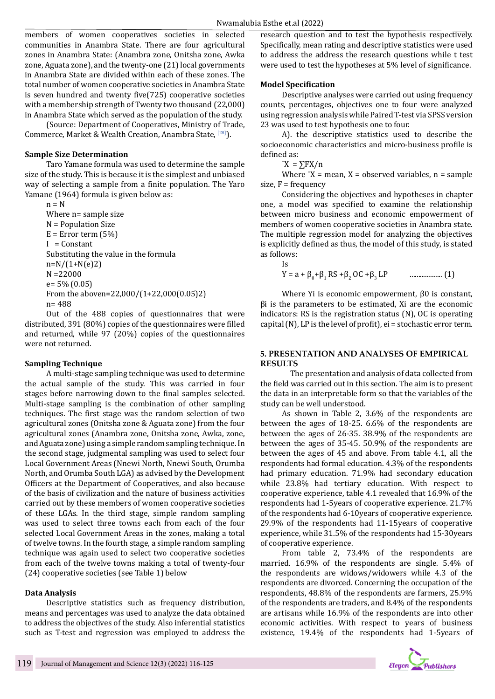members of women cooperatives societies in selected communities in Anambra State. There are four agricultural zones in Anambra State: (Anambra zone, Onitsha zone, Awka zone, Aguata zone), and the twenty-one (21) local governments in Anambra State are divided within each of these zones. The total number of women cooperative societies in Anambra State is seven hundred and twenty five(725) cooperative societies with a membership strength of Twenty two thousand (22,000) in Anambra State which served as the population of the study.

(Source: Department of Cooperatives, Ministry of Trade, Commerce, Market & Wealth Creation, Anambra State, [28]).

#### **Sample Size Determination**

Taro Yamane formula was used to determine the sample size of the study. This is because it is the simplest and unbiased way of selecting a sample from a finite population. The Yaro Yamane (1964) formula is given below as:

 $n = N$ Where n= sample size N = Population Size  $E = Error term (5%)$  $I =$ Constant Substituting the value in the formula  $n=N/(1+N(e)2)$ N =22000 e= 5% (0.05) From the aboven=22,000/(1+22,000(0.05)2) n= 488

Out of the 488 copies of questionnaires that were distributed, 391 (80%) copies of the questionnaires were filled and returned, while 97 (20%) copies of the questionnaires were not returned.

#### **Sampling Technique**

A multi-stage sampling technique was used to determine the actual sample of the study. This was carried in four stages before narrowing down to the final samples selected. Multi-stage sampling is the combination of other sampling techniques. The first stage was the random selection of two agricultural zones (Onitsha zone & Aguata zone) from the four agricultural zones (Anambra zone, Onitsha zone, Awka, zone, and Aguata zone) using a simple random sampling technique. In the second stage, judgmental sampling was used to select four Local Government Areas (Nnewi North, Nnewi South, Orumba North, and Orumba South LGA) as advised by the Development Officers at the Department of Cooperatives, and also because of the basis of civilization and the nature of business activities carried out by these members of women cooperative societies of these LGAs. In the third stage, simple random sampling was used to select three towns each from each of the four selected Local Government Areas in the zones, making a total of twelve towns. In the fourth stage, a simple random sampling technique was again used to select two cooperative societies from each of the twelve towns making a total of twenty-four (24) cooperative societies (see Table 1) below

#### **Data Analysis**

Descriptive statistics such as frequency distribution, means and percentages was used to analyze the data obtained to address the objectives of the study. Also inferential statistics such as T-test and regression was employed to address the research question and to test the hypothesis respectively. Specifically, mean rating and descriptive statistics were used to address the address the research questions while t test were used to test the hypotheses at 5% level of significance.

#### **Model Specification**

Descriptive analyses were carried out using frequency counts, percentages, objectives one to four were analyzed using regression analysis while Paired T-test via SPSS version 23 was used to test hypothesis one to four.

A). the descriptive statistics used to describe the socioeconomic characteristics and micro-business profile is defined as:

 $\overline{X} = \sum F X / n$ 

Where  $X =$  mean,  $X =$  observed variables,  $n =$  sample size,  $F = frequency$ 

Considering the objectives and hypotheses in chapter one, a model was specified to examine the relationship between micro business and economic empowerment of members of women cooperative societies in Anambra state. The multiple regression model for analyzing the objectives is explicitly defined as thus, the model of this study, is stated as follows:

Is  
Y = a + 
$$
\beta_0
$$
+ $\beta_1$  RS + $\beta_2$  OC + $\beta_3$  LP (1)

Where Yi is economic empowerment, β0 is constant, βi is the parameters to be estimated, Xi are the economic indicators: RS is the registration status (N), OC is operating capital (N), LP is the level of profit), ei = stochastic error term.

#### **5. PRESENTATION AND ANALYSES OF EMPIRICAL RESULTS**

The presentation and analysis of data collected from the field was carried out in this section. The aim is to present the data in an interpretable form so that the variables of the study can be well understood.

As shown in Table 2, 3.6% of the respondents are between the ages of 18-25. 6.6% of the respondents are between the ages of 26-35. 38.9% of the respondents are between the ages of 35-45. 50.9% of the respondents are between the ages of 45 and above. From table 4.1, all the respondents had formal education. 4.3% of the respondents had primary education. 71.9% had secondary education while 23.8% had tertiary education. With respect to cooperative experience, table 4.1 revealed that 16.9% of the respondents had 1-5years of cooperative experience. 21.7% of the respondents had 6-10years of cooperative experience. 29.9% of the respondents had 11-15years of cooperative experience, while 31.5% of the respondents had 15-30years of cooperative experience.

From table 2, 73.4% of the respondents are married. 16.9% of the respondents are single. 5.4% of the respondents are widows/widowers while 4.3 of the respondents are divorced. Concerning the occupation of the respondents, 48.8% of the respondents are farmers, 25.9% of the respondents are traders, and 8.4% of the respondents are artisans while 16.9% of the respondents are into other economic activities. With respect to years of business existence, 19.4% of the respondents had 1-5years of

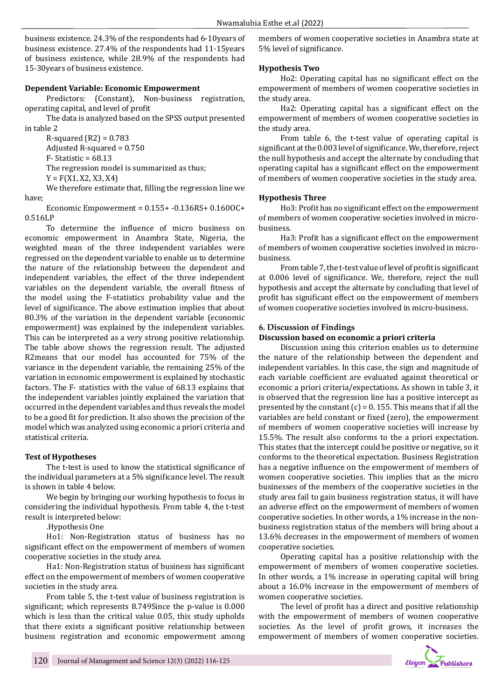business existence. 24.3% of the respondents had 6-10years of business existence. 27.4% of the respondents had 11-15years of business existence, while 28.9% of the respondents had 15-30years of business existence.

## **Dependent Variable: Economic Empowerment**

Predictors: (Constant), Non-business registration, operating capital, and level of profit

The data is analyzed based on the SPSS output presented in table 2

R-squared (R2) = 0.783 Adjusted R-squared = 0.750 F- Statistic = 68.13 The regression model is summarized as thus;

 $Y = F(X1, X2, X3, X4)$ 

We therefore estimate that, filling the regression line we have;

Economic Empowerment = 0.155+ -0.136RS+ 0.160OC+ 0.516LP

To determine the influence of micro business on economic empowerment in Anambra State, Nigeria, the weighted mean of the three independent variables were regressed on the dependent variable to enable us to determine the nature of the relationship between the dependent and independent variables, the effect of the three independent variables on the dependent variable, the overall fitness of the model using the F-statistics probability value and the level of significance. The above estimation implies that about 80.3% of the variation in the dependent variable (economic empowerment) was explained by the independent variables. This can be interpreted as a very strong positive relationship. The table above shows the regression result. The adjusted R2means that our model has accounted for 75% of the variance in the dependent variable, the remaining 25% of the variation in economic empowerment is explained by stochastic factors. The F- statistics with the value of 68.13 explains that the independent variables jointly explained the variation that occurred in the dependent variables and thus reveals the model to be a good fit for prediction. It also shows the precision of the model which was analyzed using economic a priori criteria and statistical criteria.

#### **Test of Hypotheses**

The t-test is used to know the statistical significance of the individual parameters at a 5% significance level. The result is shown in table 4 below.

We begin by bringing our working hypothesis to focus in considering the individual hypothesis. From table 4, the t-test result is interpreted below:

.Hypothesis One

Ho1: Non-Registration status of business has no significant effect on the empowerment of members of women cooperative societies in the study area.

Ha1: Non-Registration status of business has significant effect on the empowerment of members of women cooperative societies in the study area.

From table 5, the t-test value of business registration is significant; which represents 8.749Since the p-value is 0.000 which is less than the critical value 0.05, this study upholds that there exists a significant positive relationship between business registration and economic empowerment among members of women cooperative societies in Anambra state at 5% level of significance.

#### **Hypothesis Two**

Ho2: Operating capital has no significant effect on the empowerment of members of women cooperative societies in the study area.

Ha2: Operating capital has a significant effect on the empowerment of members of women cooperative societies in the study area.

From table 6, the t-test value of operating capital is significant at the 0.003 level of significance. We, therefore, reject the null hypothesis and accept the alternate by concluding that operating capital has a significant effect on the empowerment of members of women cooperative societies in the study area.

# **Hypothesis Three**

Ho3: Profit has no significant effect on the empowerment of members of women cooperative societies involved in microbusiness.

Ha3: Profit has a significant effect on the empowerment of members of women cooperative societies involved in microbusiness.

From table 7, the t-test value of level of profit is significant at 0.006 level of significance. We, therefore, reject the null hypothesis and accept the alternate by concluding that level of profit has significant effect on the empowerment of members of women cooperative societies involved in micro-business.

#### **6. Discussion of Findings**

#### **Discussion based on economic a priori criteria**

Discussion using this criterion enables us to determine the nature of the relationship between the dependent and independent variables. In this case, the sign and magnitude of each variable coefficient are evaluated against theoretical or economic a priori criteria/expectations. As shown in table 3, it is observed that the regression line has a positive intercept as presented by the constant  $(c) = 0.155$ . This means that if all the variables are held constant or fixed (zero), the empowerment of members of women cooperative societies will increase by 15.5%. The result also conforms to the a priori expectation. This states that the intercept could be positive or negative, so it conforms to the theoretical expectation. Business Registration has a negative influence on the empowerment of members of women cooperative societies. This implies that as the micro businesses of the members of the cooperative societies in the study area fail to gain business registration status, it will have an adverse effect on the empowerment of members of women cooperative societies. In other words, a 1% increase in the nonbusiness registration status of the members will bring about a 13.6% decreases in the empowerment of members of women cooperative societies.

Operating capital has a positive relationship with the empowerment of members of women cooperative societies. In other words, a 1% increase in operating capital will bring about a 16.0% increase in the empowerment of members of women cooperative societies.

The level of profit has a direct and positive relationship with the empowerment of members of women cooperative societies. As the level of profit grows, it increases the empowerment of members of women cooperative societies.

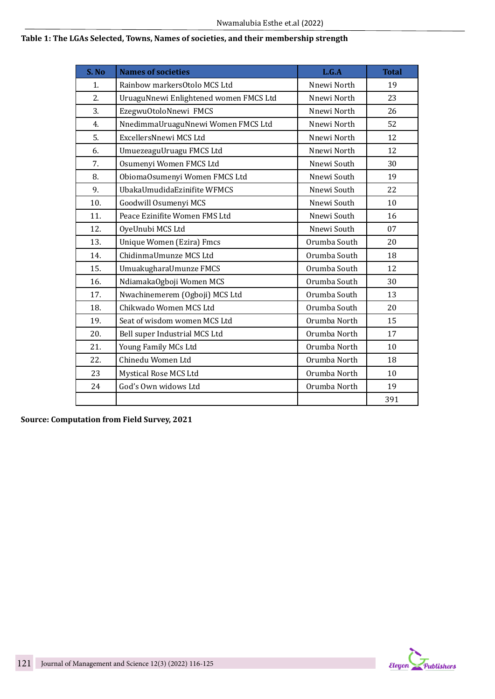# **Table 1: The LGAs Selected, Towns, Names of societies, and their membership strength**

| S. No | <b>Names of societies</b>              | L.G.A        | <b>Total</b> |
|-------|----------------------------------------|--------------|--------------|
| 1.    | Rainbow markersOtolo MCS Ltd           | Nnewi North  | 19           |
| 2.    | UruaguNnewi Enlightened women FMCS Ltd | Nnewi North  | 23           |
| 3.    | EzegwuOtoloNnewi FMCS                  | Nnewi North  | 26           |
| 4.    | NnedimmaUruaguNnewi Women FMCS Ltd     | Nnewi North  | 52           |
| 5.    | ExcellersNnewi MCS Ltd                 | Nnewi North  | 12           |
| 6.    | UmuezeaguUruagu FMCS Ltd               | Nnewi North  | 12           |
| 7.    | Osumenyi Women FMCS Ltd                | Nnewi South  | 30           |
| 8.    | ObiomaOsumenyi Women FMCS Ltd          | Nnewi South  | 19           |
| 9.    | UbakaUmudidaEzinifite WFMCS            | Nnewi South  | 22           |
| 10.   | Goodwill Osumenyi MCS                  | Nnewi South  | 10           |
| 11.   | Peace Ezinifite Women FMS Ltd          | Nnewi South  | 16           |
| 12.   | OyeUnubi MCS Ltd                       | Nnewi South  | 07           |
| 13.   | <b>Unique Women (Ezira) Fmcs</b>       | Orumba South | 20           |
| 14.   | ChidinmaUmunze MCS Ltd                 | Orumba South | 18           |
| 15.   | UmuakugharaUmunze FMCS                 | Orumba South | 12           |
| 16.   | NdiamakaOgboji Women MCS               | Orumba South | 30           |
| 17.   | Nwachinemerem (Ogboji) MCS Ltd         | Orumba South | 13           |
| 18.   | Chikwado Women MCS Ltd                 | Orumba South | 20           |
| 19.   | Seat of wisdom women MCS Ltd           | Orumba North | 15           |
| 20.   | Bell super Industrial MCS Ltd          | Orumba North | 17           |
| 21.   | Young Family MCs Ltd                   | Orumba North | 10           |
| 22.   | Chinedu Women Ltd                      | Orumba North | 18           |
| 23    | Mystical Rose MCS Ltd                  | Orumba North | 10           |
| 24    | God's Own widows Ltd                   | Orumba North | 19           |
|       |                                        |              | 391          |

**Source: Computation from Field Survey, 2021**

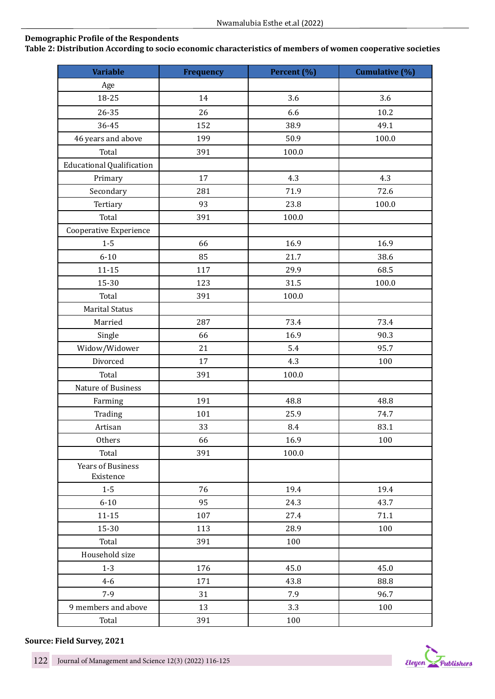# **Demographic Profile of the Respondents**

**Table 2: Distribution According to socio economic characteristics of members of women cooperative societies**

| <b>Variable</b>                       | <b>Frequency</b> | Percent (%) | Cumulative (%) |
|---------------------------------------|------------------|-------------|----------------|
| Age                                   |                  |             |                |
| 18-25                                 | 14               | 3.6         | 3.6            |
| 26-35                                 | 26               | 6.6         | 10.2           |
| 36-45                                 | 152              | 38.9        | 49.1           |
| 46 years and above                    | 199              | 50.9        | 100.0          |
| Total                                 | 391              | 100.0       |                |
| <b>Educational Qualification</b>      |                  |             |                |
| Primary                               | 17               | 4.3         | 4.3            |
| Secondary                             | 281              | 71.9        | 72.6           |
| Tertiary                              | 93               | 23.8        | 100.0          |
| Total                                 | 391              | 100.0       |                |
| Cooperative Experience                |                  |             |                |
| $1-5$                                 | 66               | 16.9        | 16.9           |
| $6 - 10$                              | 85               | 21.7        | 38.6           |
| $11 - 15$                             | 117              | 29.9        | 68.5           |
| 15-30                                 | 123              | 31.5        | 100.0          |
| Total                                 | 391              | 100.0       |                |
| <b>Marital Status</b>                 |                  |             |                |
| Married                               | 287              | 73.4        | 73.4           |
| Single                                | 66               | 16.9        | 90.3           |
| Widow/Widower                         | 21               | 5.4         | 95.7           |
| Divorced                              | 17               | 4.3         | 100            |
| Total                                 | 391              | 100.0       |                |
| Nature of Business                    |                  |             |                |
| Farming                               | 191              | 48.8        | 48.8           |
| Trading                               | 101              | 25.9        | 74.7           |
| Artisan                               | 33               | 8.4         | 83.1           |
| Others                                | 66               | 16.9        | 100            |
| Total                                 | 391              | 100.0       |                |
| <b>Years of Business</b><br>Existence |                  |             |                |
| $1-5$                                 | 76               | 19.4        | 19.4           |
| $6 - 10$                              | 95               | 24.3        | 43.7           |
| $11 - 15$                             | 107              | 27.4        | 71.1           |
| 15-30                                 | 113              | 28.9        | 100            |
| Total                                 | 391              | 100         |                |
| Household size                        |                  |             |                |
| $1 - 3$                               | 176              | 45.0        | 45.0           |
| $4 - 6$                               | 171              | 43.8        | 88.8           |
| $7-9$                                 | 31               | 7.9         | 96.7           |
| 9 members and above                   | 13               | 3.3         | 100            |
| Total                                 | 391              | 100         |                |

**Source: Field Survey, 2021**

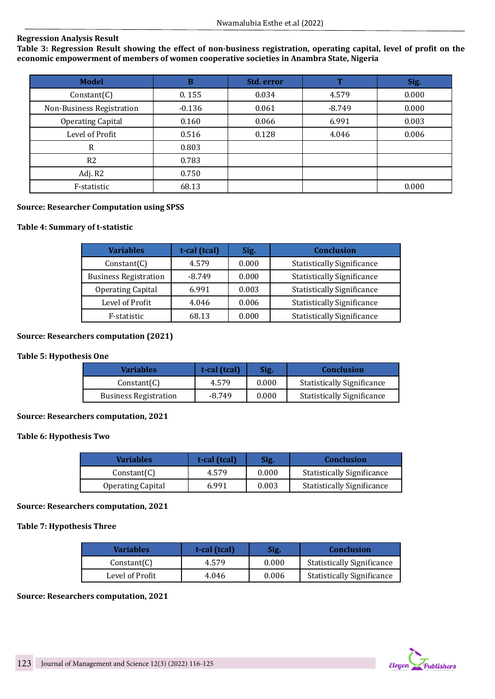# **Regression Analysis Result**

**Table 3: Regression Result showing the effect of non-business registration, operating capital, level of profit on the economic empowerment of members of women cooperative societies in Anambra State, Nigeria**

| <b>Model</b>              | B        | Std. error | $\overline{\phantom{a}}$ | Sig.  |
|---------------------------|----------|------------|--------------------------|-------|
| Constant(C)               | 0.155    | 0.034      | 4.579                    | 0.000 |
| Non-Business Registration | $-0.136$ | 0.061      | $-8.749$                 | 0.000 |
| <b>Operating Capital</b>  | 0.160    | 0.066      | 6.991                    | 0.003 |
| Level of Profit           | 0.516    | 0.128      | 4.046                    | 0.006 |
| R                         | 0.803    |            |                          |       |
| R <sub>2</sub>            | 0.783    |            |                          |       |
| Adj. R2                   | 0.750    |            |                          |       |
| F-statistic               | 68.13    |            |                          | 0.000 |

# **Source: Researcher Computation using SPSS**

# **Table 4: Summary of t-statistic**

| <b>Variables</b>             | t-cal (tcal) | Sig.  | <b>Conclusion</b>                 |
|------------------------------|--------------|-------|-----------------------------------|
| Constant(C)                  | 4.579        | 0.000 | <b>Statistically Significance</b> |
| <b>Business Registration</b> | $-8.749$     | 0.000 | <b>Statistically Significance</b> |
| <b>Operating Capital</b>     | 6.991        | 0.003 | <b>Statistically Significance</b> |
| Level of Profit              | 4.046        | 0.006 | <b>Statistically Significance</b> |
| F-statistic                  | 68.13        | 0.000 | <b>Statistically Significance</b> |

# **Source: Researchers computation (2021)**

#### **Table 5: Hypothesis One**

| <b>Variables</b>             | t-cal (tcal) | Sig.  | <b>Conclusion</b>                 |
|------------------------------|--------------|-------|-----------------------------------|
| Constant(C)                  | 4.579        | 0.000 | <b>Statistically Significance</b> |
| <b>Business Registration</b> | $-8.749$     | 0.000 | <b>Statistically Significance</b> |

## **Source: Researchers computation, 2021**

#### **Table 6: Hypothesis Two**

| Variables                | t-cal (tcal) | Sig.  | <b>Conclusion</b>                 |
|--------------------------|--------------|-------|-----------------------------------|
| Constant(C)              | 4.579        | 0.000 | <b>Statistically Significance</b> |
| <b>Operating Capital</b> | 6.991        | 0.003 | <b>Statistically Significance</b> |

#### **Source: Researchers computation, 2021**

#### **Table 7: Hypothesis Three**

| <b>Variables</b> | t-cal (tcal) | Sig.  | <b>Conclusion</b>                 |
|------------------|--------------|-------|-----------------------------------|
| Constant(C)      | 4.579        | 0.000 | <b>Statistically Significance</b> |
| Level of Profit  | 4.046        | 0.006 | <b>Statistically Significance</b> |

#### **Source: Researchers computation, 2021**

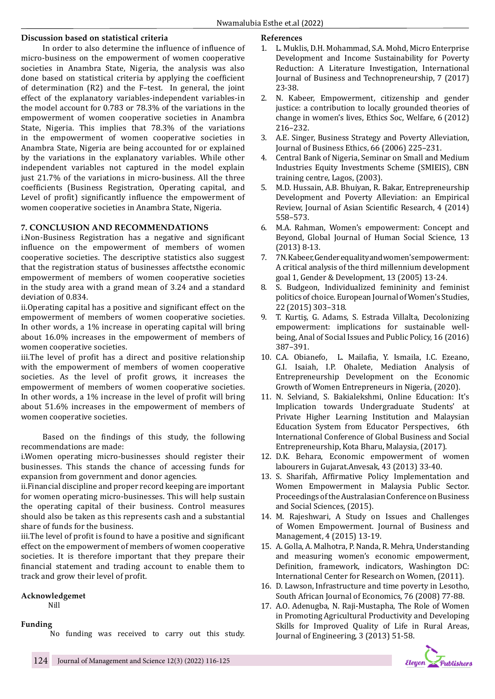# **Discussion based on statistical criteria**

In order to also determine the influence of influence of micro-business on the empowerment of women cooperative societies in Anambra State, Nigeria, the analysis was also done based on statistical criteria by applying the coefficient of determination (R2) and the F–test. In general, the joint effect of the explanatory variables-independent variables-in the model account for 0.783 or 78.3% of the variations in the empowerment of women cooperative societies in Anambra State, Nigeria. This implies that 78.3% of the variations in the empowerment of women cooperative societies in Anambra State, Nigeria are being accounted for or explained by the variations in the explanatory variables. While other independent variables not captured in the model explain just 21.7% of the variations in micro-business. All the three coefficients (Business Registration, Operating capital, and Level of profit) significantly influence the empowerment of women cooperative societies in Anambra State, Nigeria.

# **7. CONCLUSION AND RECOMMENDATIONS**

i.Non-Business Registration has a negative and significant influence on the empowerment of members of women cooperative societies. The descriptive statistics also suggest that the registration status of businesses affectsthe economic empowerment of members of women cooperative societies in the study area with a grand mean of 3.24 and a standard deviation of 0.834.

ii.Operating capital has a positive and significant effect on the empowerment of members of women cooperative societies. In other words, a 1% increase in operating capital will bring about 16.0% increases in the empowerment of members of women cooperative societies.

iii.The level of profit has a direct and positive relationship with the empowerment of members of women cooperative societies. As the level of profit grows, it increases the empowerment of members of women cooperative societies. In other words, a 1% increase in the level of profit will bring about 51.6% increases in the empowerment of members of women cooperative societies.

Based on the findings of this study, the following recommendations are made:

i.Women operating micro-businesses should register their businesses. This stands the chance of accessing funds for expansion from government and donor agencies.

ii.Financial discipline and proper record keeping are important for women operating micro-businesses. This will help sustain the operating capital of their business. Control measures should also be taken as this represents cash and a substantial share of funds for the business.

iii.The level of profit is found to have a positive and significant effect on the empowerment of members of women cooperative societies. It is therefore important that they prepare their financial statement and trading account to enable them to track and grow their level of profit.

#### **Acknowledgemet**

Nill

**Funding**

No funding was received to carry out this study.

#### **References**

- 1. L. Muklis, D.H. Mohammad, S.A. Mohd, Micro Enterprise Development and Income Sustainability for Poverty Reduction: A Literature Investigation, International Journal of Business and Technopreneurship, 7 (2017) 23-38.
- 2. N. Kabeer, Empowerment, citizenship and gender justice: a contribution to locally grounded theories of change in women's lives, Ethics Soc, Welfare, 6 (2012) 216–232.
- 3. A.E. Singer, Business Strategy and Poverty Alleviation, Journal of Business Ethics, 66 (2006) 225–231.
- 4. Central Bank of Nigeria, Seminar on Small and Medium Industries Equity Investments Scheme (SMIEIS), CBN training centre, Lagos, (2003).
- 5. M.D. Hussain, A.B. Bhuiyan, R. Bakar, Entrepreneurship Development and Poverty Alleviation: an Empirical Review, Journal of Asian Scientific Research, 4 (2014) 558–573.
- 6. M.A. Rahman, Women's empowerment: Concept and Beyond, Global Journal of Human Social Science, 13 (2013) 8-13.
- 7. 7N. Kabeer, Gender equality and women's empowerment: A critical analysis of the third millennium development goal 1, Gender & Development, 13 (2005) 13-24.
- 8. S. Budgeon, Individualized femininity and feminist politics of choice. European Journal of Women's Studies, 22 (2015) 303–318.
- 9. T. Kurtiş, G. Adams, S. Estrada Villalta, Decolonizing empowerment: implications for sustainable wellbeing, Anal of Social Issues and Public Policy, 16 (2016) 387–391.
- 10. C.A. Obianefo, L. Mailafia, Y. Ismaila, I.C. Ezeano, G.I. Isaiah, I.P. Ohalete, Mediation Analysis of Entrepreneurship Development on the Economic Growth of Women Entrepreneurs in Nigeria, (2020).
- 11. N. Selviand, S. Bakialekshmi, Online Education: It's Implication towards Undergraduate Students' at Private Higher Learning Institution and Malaysian Education System from Educator Perspectives, 6th International Conference of Global Business and Social Entrepreneurship, Kota Bharu, Malaysia, (2017).
- 12. D.K. Behara, Economic empowerment of women labourers in Gujarat.Anvesak, 43 (2013) 33-40.
- 13. S. Sharifah, Affirmative Policy Implementation and Women Empowerment in Malaysia Public Sector. Proceedings of the Australasian Conference on Business and Social Sciences, (2015).
- 14. M. Rajeshwari, A Study on Issues and Challenges of Women Empowerment. Journal of Business and Management, 4 (2015) 13-19.
- 15. A. Golla, A. Malhotra, P. Nanda, R. Mehra, Understanding and measuring women's economic empowerment, Definition, framework, indicators, Washington DC: International Center for Research on Women, (2011).
- 16. D. Lawson, Infrastructure and time poverty in Lesotho, South African Journal of Economics, 76 (2008) 77-88.
- 17. A.O. Adenugba, N. Raji-Mustapha, The Role of Women in Promoting Agricultural Productivity and Developing Skills for Improved Quality of Life in Rural Areas, Journal of Engineering, 3 (2013) 51-58.